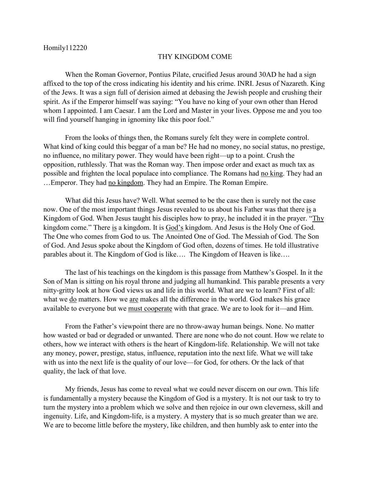## THY KINGDOM COME

When the Roman Governor, Pontius Pilate, crucified Jesus around 30AD he had a sign affixed to the top of the cross indicating his identity and his crime. INRI. Jesus of Nazareth. King of the Jews. It was a sign full of derision aimed at debasing the Jewish people and crushing their spirit. As if the Emperor himself was saying: "You have no king of your own other than Herod whom I appointed. I am Caesar. I am the Lord and Master in your lives. Oppose me and you too will find yourself hanging in ignominy like this poor fool."

From the looks of things then, the Romans surely felt they were in complete control. What kind of king could this beggar of a man be? He had no money, no social status, no prestige, no influence, no military power. They would have been right—up to a point. Crush the opposition, ruthlessly. That was the Roman way. Then impose order and exact as much tax as possible and frighten the local populace into compliance. The Romans had no king. They had an …Emperor. They had no kingdom. They had an Empire. The Roman Empire.

What did this Jesus have? Well. What seemed to be the case then is surely not the case now. One of the most important things Jesus revealed to us about his Father was that there is a Kingdom of God. When Jesus taught his disciples how to pray, he included it in the prayer. "Thy kingdom come." There is a kingdom. It is God's kingdom. And Jesus is the Holy One of God. The One who comes from God to us. The Anointed One of God. The Messiah of God. The Son of God. And Jesus spoke about the Kingdom of God often, dozens of times. He told illustrative parables about it. The Kingdom of God is like…. The Kingdom of Heaven is like….

The last of his teachings on the kingdom is this passage from Matthew's Gospel. In it the Son of Man is sitting on his royal throne and judging all humankind. This parable presents a very nitty-gritty look at how God views us and life in this world. What are we to learn? First of all: what we do matters. How we are makes all the difference in the world. God makes his grace available to everyone but we must cooperate with that grace. We are to look for it—and Him.

From the Father's viewpoint there are no throw-away human beings. None. No matter how wasted or bad or degraded or unwanted. There are none who do not count. How we relate to others, how we interact with others is the heart of Kingdom-life. Relationship. We will not take any money, power, prestige, status, influence, reputation into the next life. What we will take with us into the next life is the quality of our love—for God, for others. Or the lack of that quality, the lack of that love.

My friends, Jesus has come to reveal what we could never discern on our own. This life is fundamentally a mystery because the Kingdom of God is a mystery. It is not our task to try to turn the mystery into a problem which we solve and then rejoice in our own cleverness, skill and ingenuity. Life, and Kingdom-life, is a mystery. A mystery that is so much greater than we are. We are to become little before the mystery, like children, and then humbly ask to enter into the